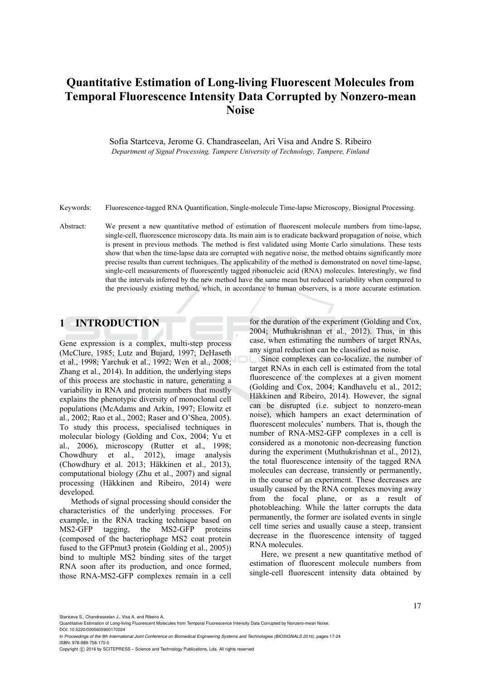# **Quantitative Estimation of Long-living Fluorescent Molecules from Temporal Fluorescence Intensity Data Corrupted by Nonzero-mean Noise**

Sofia Startceva, Jerome G. Chandraseelan, Ari Visa and Andre S. Ribeiro *Department of Signal Processing, Tampere University of Technology, Tampere, Finland* 

Keywords: Fluorescence-tagged RNA Quantification, Single-molecule Time-lapse Microscopy, Biosignal Processing.

Abstract: We present a new quantitative method of estimation of fluorescent molecule numbers from time-lapse, single-cell, fluorescence microscopy data. Its main aim is to eradicate backward propagation of noise, which is present in previous methods. The method is first validated using Monte Carlo simulations. These tests show that when the time-lapse data are corrupted with negative noise, the method obtains significantly more precise results than current techniques. The applicability of the method is demonstrated on novel time-lapse, single-cell measurements of fluorescently tagged ribonucleic acid (RNA) molecules. Interestingly, we find that the intervals inferred by the new method have the same mean but reduced variability when compared to the previously existing method, which, in accordance to human observers, is a more accurate estimation.

### **1 INTRODUCTION**

Gene expression is a complex, multi-step process (McClure, 1985; Lutz and Bujard, 1997; DeHaseth et al., 1998; Yarchuk et al., 1992; Wen et al., 2008; Zhang et al., 2014). In addition, the underlying steps of this process are stochastic in nature, generating a variability in RNA and protein numbers that mostly explains the phenotypic diversity of monoclonal cell populations (McAdams and Arkin, 1997; Elowitz et al., 2002; Rao et al., 2002; Raser and O'Shea, 2005). To study this process, specialised techniques in molecular biology (Golding and Cox, 2004; Yu et al., 2006), microscopy (Rutter et al., 1998; Chowdhury et al., 2012), image analysis (Chowdhury et al. 2013; Häkkinen et al., 2013), computational biology (Zhu et al., 2007) and signal processing (Häkkinen and Ribeiro, 2014) were developed.

Methods of signal processing should consider the characteristics of the underlying processes. For example, in the RNA tracking technique based on MS2-GFP tagging, the MS2-GFP proteins (composed of the bacteriophage MS2 coat protein fused to the GFPmut3 protein (Golding et al., 2005)) bind to multiple MS2 binding sites of the target RNA soon after its production, and once formed, those RNA-MS2-GFP complexes remain in a cell

for the duration of the experiment (Golding and Cox, 2004; Muthukrishnan et al., 2012). Thus, in this case, when estimating the numbers of target RNAs, any signal reduction can be classified as noise.

Since complexes can co-localize, the number of target RNAs in each cell is estimated from the total fluorescence of the complexes at a given moment (Golding and Cox, 2004; Kandhavelu et al., 2012; Häkkinen and Ribeiro, 2014). However, the signal can be disrupted (i.e. subject to nonzero-mean noise), which hampers an exact determination of fluorescent molecules' numbers. That is, though the number of RNA-MS2-GFP complexes in a cell is considered as a monotonic non-decreasing function during the experiment (Muthukrishnan et al., 2012), the total fluorescence intensity of the tagged RNA molecules can decrease, transiently or permanently, in the course of an experiment. These decreases are usually caused by the RNA complexes moving away from the focal plane, or as a result of photobleaching. While the latter corrupts the data permanently, the former are isolated events in single cell time series and usually cause a steep, transient decrease in the fluorescence intensity of tagged RNA molecules.

Here, we present a new quantitative method of estimation of fluorescent molecule numbers from single-cell fluorescent intensity data obtained by

Startceva S., Chandraseelan J., Visa A. and Ribeiro A.

Quantitative Estimation of Long-living Fluorescent Molecules from Temporal Fluorescence Intensity Data Corrupted by Nonzero-mean Noise. DOI: 10.5220/0005605900170024

In *Proceedings of the 9th International Joint Conference on Biomedical Engineering Systems and Technologies (BIOSIGNALS 2016)*, pages 17-24 ISBN: 978-989-758-170-0

Copyright © 2016 by SCITEPRESS - Science and Technology Publications, Lda. All rights reserved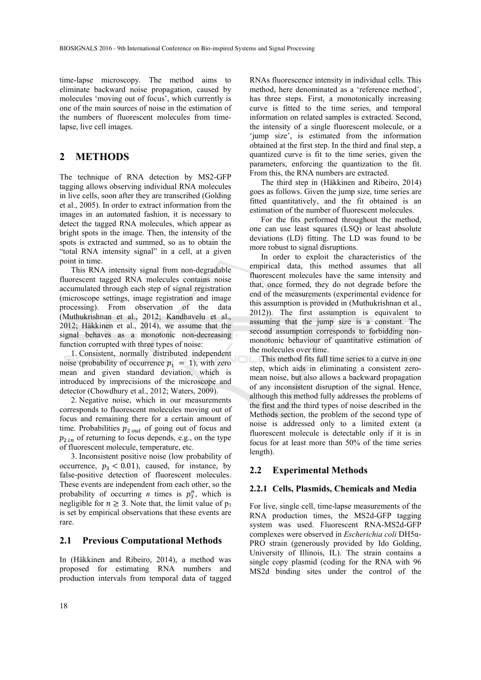time-lapse microscopy. The method aims to eliminate backward noise propagation, caused by molecules 'moving out of focus', which currently is one of the main sources of noise in the estimation of the numbers of fluorescent molecules from timelapse, live cell images.

### **2 METHODS**

The technique of RNA detection by MS2-GFP tagging allows observing individual RNA molecules in live cells, soon after they are transcribed (Golding et al., 2005). In order to extract information from the images in an automated fashion, it is necessary to detect the tagged RNA molecules, which appear as bright spots in the image. Then, the intensity of the spots is extracted and summed, so as to obtain the "total RNA intensity signal" in a cell, at a given point in time.

This RNA intensity signal from non-degradable fluorescent tagged RNA molecules contains noise accumulated through each step of signal registration (microscope settings, image registration and image processing). From observation of the data (Muthukrishnan et al., 2012; Kandhavelu et al., 2012; Häkkinen et al., 2014), we assume that the signal behaves as a monotonic non-decreasing function corrupted with three types of noise:

1. Consistent, normally distributed independent noise (probability of occurrence  $p_1 = 1$ ), with zero mean and given standard deviation, which is introduced by imprecisions of the microscope and detector (Chowdhury et al., 2012; Waters, 2009).

2. Negative noise, which in our measurements corresponds to fluorescent molecules moving out of focus and remaining there for a certain amount of time. Probabilities  $p_{2\,out}$  of going out of focus and  $p_{2 in}$  of returning to focus depends, e.g., on the type of fluorescent molecule, temperature, etc.

3. Inconsistent positive noise (low probability of occurrence,  $p_3 < 0.01$ ), caused, for instance, by false-positive detection of fluorescent molecules. These events are independent from each other, so the probability of occurring *n* times is  $p_3^n$ , which is negligible for  $n \geq 3$ . Note that, the limit value of p<sub>3</sub> is set by empirical observations that these events are rare.

#### **2.1 Previous Computational Methods**

In (Häkkinen and Ribeiro, 2014), a method was proposed for estimating RNA numbers and production intervals from temporal data of tagged

RNAs fluorescence intensity in individual cells. This method, here denominated as a 'reference method', has three steps. First, a monotonically increasing curve is fitted to the time series, and temporal information on related samples is extracted. Second, the intensity of a single fluorescent molecule, or a 'jump size', is estimated from the information obtained at the first step. In the third and final step, a quantized curve is fit to the time series, given the parameters, enforcing the quantization to the fit. From this, the RNA numbers are extracted.

The third step in (Häkkinen and Ribeiro, 2014) goes as follows. Given the jump size, time series are fitted quantitatively, and the fit obtained is an estimation of the number of fluorescent molecules.

For the fits performed throughout the method, one can use least squares (LSQ) or least absolute deviations (LD) fitting. The LD was found to be more robust to signal disruptions.

In order to exploit the characteristics of the empirical data, this method assumes that all fluorescent molecules have the same intensity and that, once formed, they do not degrade before the end of the measurements (experimental evidence for this assumption is provided in (Muthukrishnan et al., 2012)). The first assumption is equivalent to assuming that the jump size is a constant. The second assumption corresponds to forbidding nonmonotonic behaviour of quantitative estimation of the molecules over time.

This method fits full time series to a curve in one step, which aids in eliminating a consistent zeromean noise, but also allows a backward propagation of any inconsistent disruption of the signal. Hence, although this method fully addresses the problems of the first and the third types of noise described in the Methods section, the problem of the second type of noise is addressed only to a limited extent (a fluorescent molecule is detectable only if it is in focus for at least more than 50% of the time series length).

#### **2.2 Experimental Methods**

#### **2.2.1 Cells, Plasmids, Chemicals and Media**

For live, single cell, time-lapse measurements of the RNA production times, the MS2d-GFP tagging system was used. Fluorescent RNA-MS2d-GFP complexes were observed in *Escherichia coli* DH5α-PRO strain (generously provided by Ido Golding, University of Illinois, IL). The strain contains a single copy plasmid (coding for the RNA with 96 MS2d binding sites under the control of the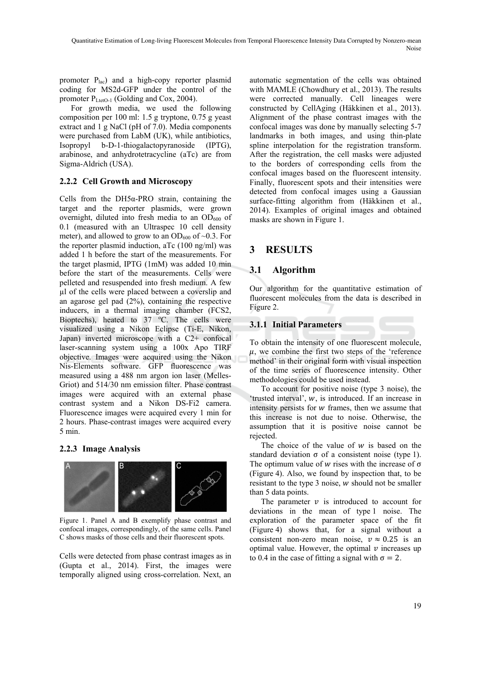promoter Plac) and a high-copy reporter plasmid coding for MS2d-GFP under the control of the promoter  $P_{\text{Leto-1}}$  (Golding and Cox, 2004).

For growth media, we used the following composition per 100 ml: 1.5 g tryptone, 0.75 g yeast extract and 1 g NaCl (pH of 7.0). Media components were purchased from LabM (UK), while antibiotics, Isopropyl b-D-1-thiogalactopyranoside (IPTG), arabinose, and anhydrotetracycline (aTc) are from Sigma-Aldrich (USA).

### **2.2.2 Cell Growth and Microscopy**

Cells from the DH5α-PRO strain, containing the target and the reporter plasmids, were grown overnight, diluted into fresh media to an  $OD<sub>600</sub>$  of 0.1 (measured with an Ultraspec 10 cell density meter), and allowed to grow to an  $OD_{600}$  of  $~0.3$ . For the reporter plasmid induction, aTc (100 ng/ml) was added 1 h before the start of the measurements. For the target plasmid, IPTG (1mM) was added 10 min before the start of the measurements. Cells were pelleted and resuspended into fresh medium. A few µl of the cells were placed between a coverslip and an agarose gel pad (2%), containing the respective inducers, in a thermal imaging chamber (FCS2, Bioptechs), heated to  $37 \degree$ C. The cells were visualized using a Nikon Eclipse (Ti-E, Nikon, Japan) inverted microscope with a C2+ confocal laser-scanning system using a 100x Apo TIRF objective. Images were acquired using the Nikon Nis-Elements software. GFP fluorescence was measured using a 488 nm argon ion laser (Melles-Griot) and 514/30 nm emission filter. Phase contrast images were acquired with an external phase contrast system and a Nikon DS-Fi2 camera. Fluorescence images were acquired every 1 min for 2 hours. Phase-contrast images were acquired every 5 min.

#### **2.2.3 Image Analysis**



Figure 1. Panel A and B exemplify phase contrast and confocal images, correspondingly, of the same cells. Panel C shows masks of those cells and their fluorescent spots.

Cells were detected from phase contrast images as in (Gupta et al., 2014). First, the images were temporally aligned using cross-correlation. Next, an

automatic segmentation of the cells was obtained with MAMLE (Chowdhury et al., 2013). The results were corrected manually. Cell lineages were constructed by CellAging (Häkkinen et al., 2013). Alignment of the phase contrast images with the confocal images was done by manually selecting 5-7 landmarks in both images, and using thin-plate spline interpolation for the registration transform. After the registration, the cell masks were adjusted to the borders of corresponding cells from the confocal images based on the fluorescent intensity. Finally, fluorescent spots and their intensities were detected from confocal images using a Gaussian surface-fitting algorithm from (Häkkinen et al., 2014). Examples of original images and obtained masks are shown in Figure 1.

### **3 RESULTS**

### **3.1 Algorithm**

Our algorithm for the quantitative estimation of fluorescent molecules from the data is described in Figure 2.

### **3.1.1 Initial Parameters**

To obtain the intensity of one fluorescent molecule,  $\mu$ , we combine the first two steps of the 'reference method' in their original form with visual inspection of the time series of fluorescence intensity. Other methodologies could be used instead.

To account for positive noise (type 3 noise), the 'trusted interval',  $w$ , is introduced. If an increase in intensity persists for  $w$  frames, then we assume that this increase is not due to noise. Otherwise, the assumption that it is positive noise cannot be rejected.

The choice of the value of  $w$  is based on the standard deviation  $\sigma$  of a consistent noise (type 1). The optimum value of w rises with the increase of  $\sigma$ (Figure 4). Also, we found by inspection that, to be resistant to the type  $3$  noise,  $w$  should not be smaller than 5 data points.

The parameter  $\nu$  is introduced to account for deviations in the mean of type 1 noise. The exploration of the parameter space of the fit (Figure 4) shows that, for a signal without a consistent non-zero mean noise,  $v \approx 0.25$  is an optimal value. However, the optimal  $\nu$  increases up to 0.4 in the case of fitting a signal with  $\sigma = 2$ .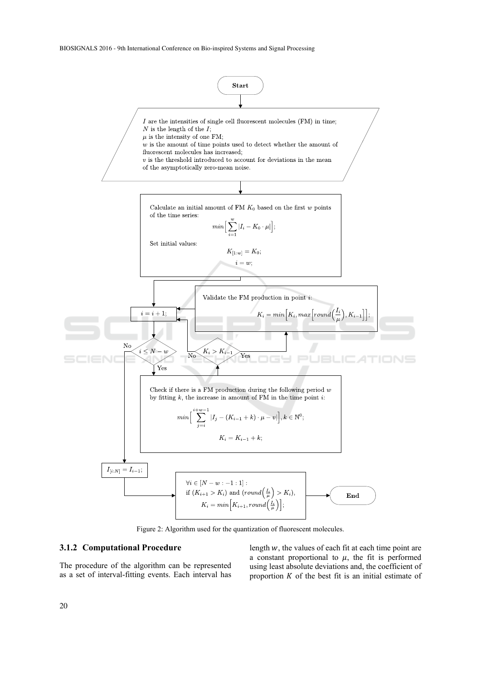BIOSIGNALS 2016 - 9th International Conference on Bio-inspired Systems and Signal Processing



Figure 2: Algorithm used for the quantization of fluorescent molecules.

#### **3.1.2 Computational Procedure**

The procedure of the algorithm can be represented as a set of interval-fitting events. Each interval has length  $w$ , the values of each fit at each time point are a constant proportional to  $\mu$ , the fit is performed using least absolute deviations and, the coefficient of proportion  $K$  of the best fit is an initial estimate of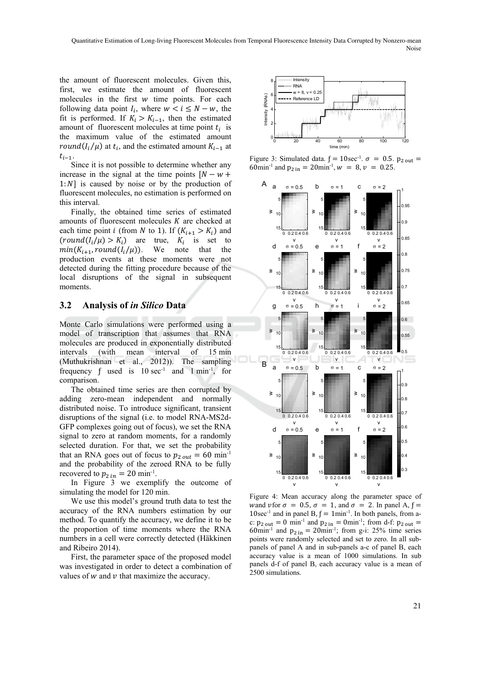the amount of fluorescent molecules. Given this, first, we estimate the amount of fluorescent molecules in the first  $w$  time points. For each following data point  $I_i$ , where  $w < i \leq N - w$ , the fit is performed. If  $K_i > K_{i-1}$ , then the estimated amount of fluorescent molecules at time point  $t_i$  is the maximum value of the estimated amount round( $I_i/\mu$ ) at  $t_i$ , and the estimated amount  $K_{i-1}$  at  $t_{i-1}$ .

Since it is not possible to determine whether any increase in the signal at the time points  $[N - w +$  $1:N$  is caused by noise or by the production of fluorescent molecules, no estimation is performed on this interval.

Finally, the obtained time series of estimated amounts of fluorescent molecules  $K$  are checked at each time point *i* (from *N* to 1). If  $(K_{i+1} > K_i)$  and  $(round(I_i/\mu) > K_i)$  are true,  $K_i$  is set to  $min(K_{i+1}, round(I_i/\mu))$ . We note that the production events at these moments were not detected during the fitting procedure because of the local disruptions of the signal in subsequent moments.

### **3.2 Analysis of** *in Silico* **Data**

Monte Carlo simulations were performed using a model of transcription that assumes that RNA molecules are produced in exponentially distributed intervals (with mean interval of 15 min (Muthukrishnan et al., 2012)). The sampling frequency  $f$  used is  $10 \text{ sec}^{-1}$  and  $1 \text{ min}^{-1}$ , for comparison.

The obtained time series are then corrupted by adding zero-mean independent and normally distributed noise. To introduce significant, transient disruptions of the signal (i.e. to model RNA-MS2d-GFP complexes going out of focus), we set the RNA signal to zero at random moments, for a randomly selected duration. For that, we set the probability that an RNA goes out of focus to  $p_{2, out} = 60$  min<sup>-1</sup> and the probability of the zeroed RNA to be fully recovered to  $p_{2,in} = 20$  min<sup>-1</sup>.

In Figure 3 we exemplify the outcome of simulating the model for 120 min.

We use this model's ground truth data to test the accuracy of the RNA numbers estimation by our method. To quantify the accuracy, we define it to be the proportion of time moments where the RNA numbers in a cell were correctly detected (Häkkinen and Ribeiro 2014).

First, the parameter space of the proposed model was investigated in order to detect a combination of values of  $w$  and  $v$  that maximize the accuracy.



Figure 3: Simulated data.  $f = 10$ sec<sup>-1</sup>.  $\sigma = 0.5$ .  $p_{2 \text{ out}} =$ 60min<sup>-1</sup> and  $p_{2 \text{ in}} = 20$ min<sup>-1</sup>,  $w = 8$ ,  $v = 0.25$ .



Figure 4: Mean accuracy along the parameter space of wand vfor  $\sigma = 0.5$ ,  $\sigma = 1$ , and  $\sigma = 2$ . In panel A,  $f =$ 10sec<sup>-1</sup> and in panel B,  $f = 1$ min<sup>-1</sup>. In both panels, from ac:  $p_{2\text{ out}} = 0 \text{ min}^{-1}$  and  $p_{2\text{ in}} = 0 \text{ min}^{-1}$ ; from d-f:  $p_{2\text{ out}} =$ 60min<sup>-1</sup> and  $p_{2 \text{ in}} = 20$ min<sup>-1</sup>; from g-i: 25% time series points were randomly selected and set to zero. In all subpanels of panel A and in sub-panels a-c of panel B, each accuracy value is a mean of 1000 simulations. In sub panels d-f of panel B, each accuracy value is a mean of 2500 simulations.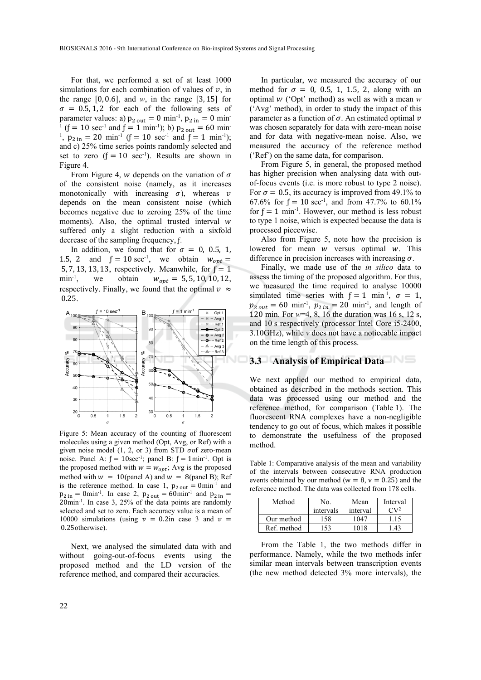For that, we performed a set of at least 1000 simulations for each combination of values of  $v$ , in the range  $[0, 0.6]$ , and *w*, in the range  $[3, 15]$  for  $\sigma = 0.5, 1, 2$  for each of the following sets of parameter values: a)  $p_{2 \text{ out}} = 0 \text{ min}^{-1}$ ,  $p_{2 \text{ in}} = 0 \text{ min}^{-1}$ <sup>1</sup> (f = 10 sec<sup>-1</sup> and f = 1 min<sup>-1</sup>); b)  $p_{2\text{ out}} = 60 \text{ min}$ <sup>1</sup>,  $p_{2 \text{ in}} = 20 \text{ min}^{-1}$  (f = 10 sec<sup>-1</sup> and f = 1 min<sup>-1</sup>); and c) 25% time series points randomly selected and set to zero  $(f = 10 \text{ sec}^{-1})$ . Results are shown in Figure 4.

From Figure 4, w depends on the variation of  $\sigma$ of the consistent noise (namely, as it increases monotonically with increasing  $\sigma$ ), whereas  $\nu$ depends on the mean consistent noise (which becomes negative due to zeroing 25% of the time moments). Also, the optimal trusted interval  $w$ suffered only a slight reduction with a sixfold decrease of the sampling frequency, f.

In addition, we found that for  $\sigma = 0$ , 0.5, 1, 1.5, 2 and  $f = 10 \text{ sec}^{-1}$ , we obtain  $w_{opt} =$ 5, 7, 13, 13, 13, respectively. Meanwhile, for  $f = 1$ min<sup>-1</sup>, we obtain  $w_{opt} = 5, 5, 10, 10, 12$ , respectively. Finally, we found that the optimal  $v \approx$  0.25.



Figure 5: Mean accuracy of the counting of fluorescent molecules using a given method (Opt, Avg, or Ref) with a given noise model  $(1, 2, \text{or } 3)$  from STD  $\sigma$ of zero-mean noise. Panel A:  $f = 10$ sec<sup>-1</sup>; panel B:  $f = 1$ min<sup>-1</sup>. Opt is the proposed method with  $w = w_{opt}$ ; Avg is the proposed method with  $w = 10$ (panel A) and  $w = 8$ (panel B); Ref is the reference method. In case 1,  $p_{2\text{ out}} = 0$ min<sup>-1</sup> and  $p_{2 \text{ in}} = 0$ min<sup>-1</sup>. In case 2,  $p_{2 \text{ out}} = 60$ min<sup>-1</sup> and  $p_{2 \text{ in}} =$ 20min-1. In case 3, 25% of the data points are randomly selected and set to zero. Each accuracy value is a mean of 10000 simulations (using  $v = 0.2$ in case 3 and  $v =$  0.25otherwise).

Next, we analysed the simulated data with and without going-out-of-focus events using the proposed method and the LD version of the reference method, and compared their accuracies.

In particular, we measured the accuracy of our method for  $\sigma = 0$ , 0.5, 1, 1.5, 2, along with an optimal  $w$  ('Opt' method) as well as with a mean  $w$ ('Avg' method), in order to study the impact of this parameter as a function of  $\sigma$ . An estimated optimal  $\nu$ was chosen separately for data with zero-mean noise and for data with negative-mean noise. Also, we measured the accuracy of the reference method ('Ref') on the same data, for comparison.

From Figure 5, in general, the proposed method has higher precision when analysing data with outof-focus events (i.e. is more robust to type 2 noise). For  $\sigma = 0.5$ , its accuracy is improved from 49.1% to 67.6% for  $f = 10 \text{ sec}^{-1}$ , and from 47.7% to 60.1% for  $f = 1$  min<sup>-1</sup>. However, our method is less robust to type 1 noise, which is expected because the data is processed piecewise.

Also from Figure 5, note how the precision is lowered for mean  $w$  versus optimal  $w$ . This difference in precision increases with increasing  $\sigma$ .

Finally, we made use of the *in silico* data to assess the timing of the proposed algorithm. For this, we measured the time required to analyse 10000 simulated time series with  $f = 1$  min<sup>-1</sup>,  $\sigma = 1$ ,  $p_{2\, out} = 60 \text{ min}^{-1}$ ,  $p_{2\, in} = 20 \text{ min}^{-1}$ , and length of 120 min. For *w*=4, 8, 16 the duration was 16 s, 12 s, and 10 s respectively (processor Intel Core i5-2400, 3.10GHz), while *v* does not have a noticeable impact on the time length of this process.

#### **3.3 Analysis of Empirical Data**

We next applied our method to empirical data, obtained as described in the methods section. This data was processed using our method and the reference method, for comparison (Table 1). The fluorescent RNA complexes have a non-negligible tendency to go out of focus, which makes it possible to demonstrate the usefulness of the proposed method.

Table 1: Comparative analysis of the mean and variability of the intervals between consecutive RNA production events obtained by our method ( $w = 8$ ,  $v = 0.25$ ) and the reference method. The data was collected from 178 cells.

| Method      | No.       | Mean     | Interval     |
|-------------|-----------|----------|--------------|
|             | intervals | interval | $\Gamma V^2$ |
| Our method  | 58        | 1047     | 1.15         |
| Ref. method | 53        | 1018     | 43           |

From the Table 1, the two methods differ in performance. Namely, while the two methods infer similar mean intervals between transcription events (the new method detected 3% more intervals), the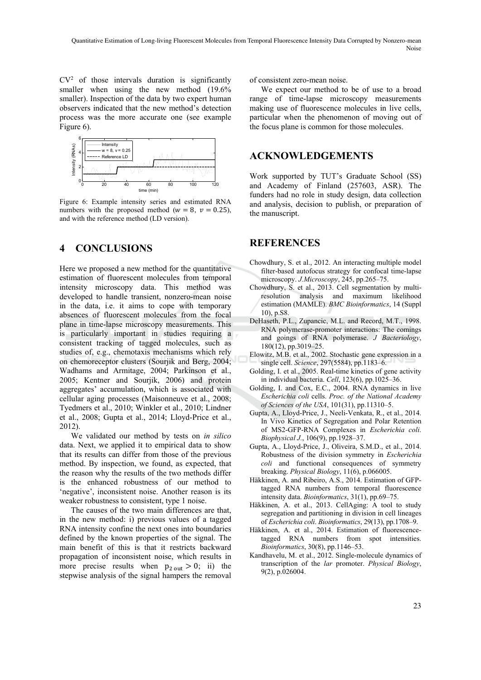$CV<sup>2</sup>$  of those intervals duration is significantly smaller when using the new method  $(19.6\%$ smaller). Inspection of the data by two expert human observers indicated that the new method's detection process was the more accurate one (see example Figure 6).



Figure 6: Example intensity series and estimated RNA numbers with the proposed method ( $w=8$ ,  $v=0.25$ ), and with the reference method (LD version).

## **4 CONCLUSIONS**

Here we proposed a new method for the quantitative estimation of fluorescent molecules from temporal intensity microscopy data. This method was developed to handle transient, nonzero-mean noise in the data, i.e. it aims to cope with temporary absences of fluorescent molecules from the focal plane in time-lapse microscopy measurements. This is particularly important in studies requiring a consistent tracking of tagged molecules, such as studies of, e.g., chemotaxis mechanisms which rely on chemoreceptor clusters (Sourjik and Berg, 2004; Wadhams and Armitage, 2004; Parkinson et al., 2005; Kentner and Sourjik, 2006) and protein aggregates' accumulation, which is associated with cellular aging processes (Maisonneuve et al., 2008; Tyedmers et al., 2010; Winkler et al., 2010; Lindner et al., 2008; Gupta et al., 2014; Lloyd-Price et al., 2012).

We validated our method by tests on *in silico* data. Next, we applied it to empirical data to show that its results can differ from those of the previous method. By inspection, we found, as expected, that the reason why the results of the two methods differ is the enhanced robustness of our method to 'negative', inconsistent noise. Another reason is its weaker robustness to consistent, type 1 noise.

The causes of the two main differences are that, in the new method: i) previous values of a tagged RNA intensity confine the next ones into boundaries defined by the known properties of the signal. The main benefit of this is that it restricts backward propagation of inconsistent noise, which results in more precise results when  $p_{2\text{ out}} > 0$ ; ii) the stepwise analysis of the signal hampers the removal

of consistent zero-mean noise.

We expect our method to be of use to a broad range of time-lapse microscopy measurements making use of fluorescence molecules in live cells, particular when the phenomenon of moving out of the focus plane is common for those molecules.

### **ACKNOWLEDGEMENTS**

Work supported by TUT's Graduate School (SS) and Academy of Finland (257603, ASR). The funders had no role in study design, data collection and analysis, decision to publish, or preparation of the manuscript.

### **REFERENCES**

- Chowdhury, S. et al., 2012. An interacting multiple model filter-based autofocus strategy for confocal time-lapse microscopy. *J.Microscopy*, 245, pp.265–75.
- Chowdhury, S. et al., 2013. Cell segmentation by multiresolution analysis and maximum likelihood estimation (MAMLE). *BMC Bioinformatics*, 14 (Suppl 10), p.S8.
- DeHaseth, P.L., Zupancic, M.L. and Record, M.T., 1998. RNA polymerase-promoter interactions: The comings and goings of RNA polymerase. *J Bacteriology*, 180(12), pp.3019–25.
- Elowitz, M.B. et al., 2002. Stochastic gene expression in a single cell. *Science*, 297(5584), pp.1183–6.
- Golding, I. et al., 2005. Real-time kinetics of gene activity in individual bacteria. *Cell*, 123(6), pp.1025–36.
- Golding, I. and Cox, E.C., 2004. RNA dynamics in live *Escherichia coli* cells. *Proc. of the National Academy of Sciences of the USA*, 101(31), pp.11310–5.
- Gupta, A., Lloyd-Price, J., Neeli-Venkata, R., et al., 2014. In Vivo Kinetics of Segregation and Polar Retention of MS2-GFP-RNA Complexes in *Escherichia coli*. *Biophysical J.*, 106(9), pp.1928–37.
- Gupta, A., Lloyd-Price, J., Oliveira, S.M.D., et al., 2014. Robustness of the division symmetry in *Escherichia coli* and functional consequences of symmetry breaking. *Physical Biology*, 11(6), p.066005.
- Häkkinen, A. and Ribeiro, A.S., 2014. Estimation of GFPtagged RNA numbers from temporal fluorescence intensity data. *Bioinformatics*, 31(1), pp.69–75.
- Häkkinen, A. et al., 2013. CellAging: A tool to study segregation and partitioning in division in cell lineages of *Escherichia coli*. *Bioinformatics*, 29(13), pp.1708–9.
- Häkkinen, A. et al., 2014. Estimation of fluorescencetagged RNA numbers from spot intensities. *Bioinformatics*, 30(8), pp.1146–53.
- Kandhavelu, M. et al., 2012. Single-molecule dynamics of transcription of the *lar* promoter. *Physical Biology*, 9(2), p.026004.